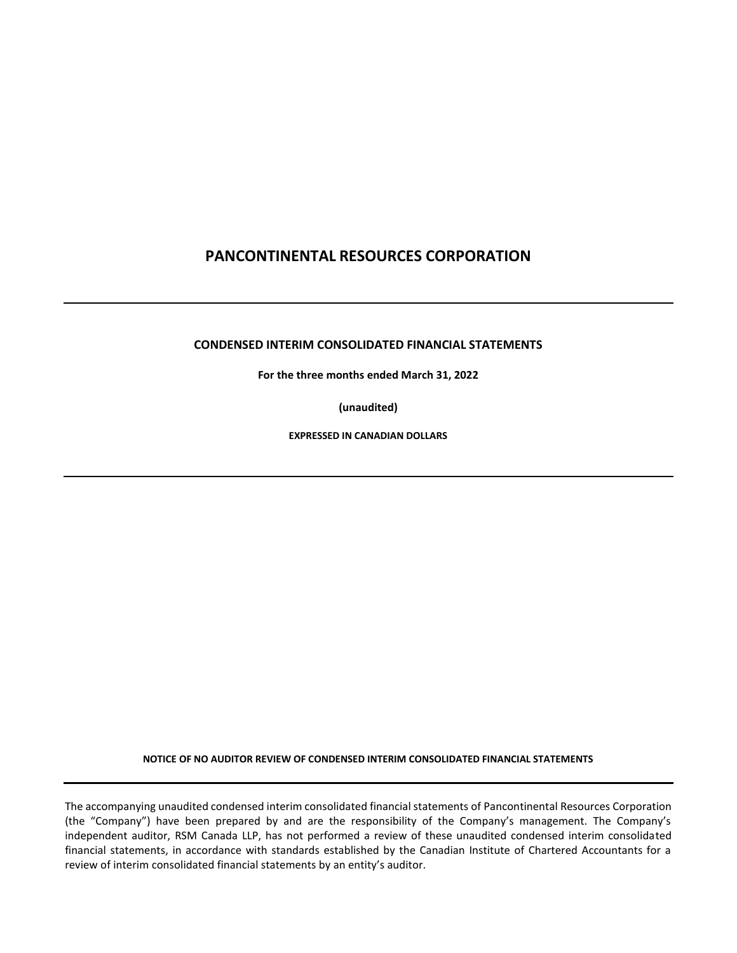## **CONDENSED INTERIM CONSOLIDATED FINANCIAL STATEMENTS**

**For the three months ended March 31, 2022**

**(unaudited)**

**EXPRESSED IN CANADIAN DOLLARS**

**NOTICE OF NO AUDITOR REVIEW OF CONDENSED INTERIM CONSOLIDATED FINANCIAL STATEMENTS**

The accompanying unaudited condensed interim consolidated financial statements of Pancontinental Resources Corporation (the "Company") have been prepared by and are the responsibility of the Company's management. The Company's independent auditor, RSM Canada LLP, has not performed a review of these unaudited condensed interim consolidated financial statements, in accordance with standards established by the Canadian Institute of Chartered Accountants for a review of interim consolidated financial statements by an entity's auditor.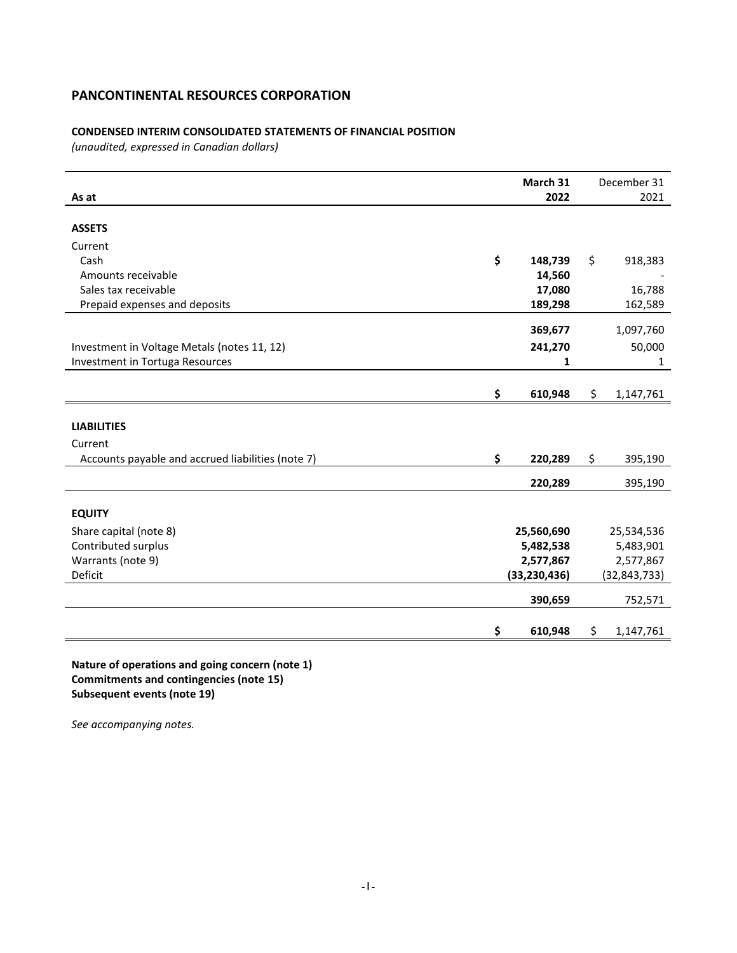## **CONDENSED INTERIM CONSOLIDATED STATEMENTS OF FINANCIAL POSITION**

*(unaudited, expressed in Canadian dollars)*

| As at                                             | March 31<br>2022 | December 31<br>2021 |
|---------------------------------------------------|------------------|---------------------|
|                                                   |                  |                     |
| <b>ASSETS</b>                                     |                  |                     |
| Current                                           |                  |                     |
| Cash                                              | \$<br>148,739    | \$<br>918,383       |
| Amounts receivable                                | 14,560           |                     |
| Sales tax receivable                              | 17,080           | 16,788              |
| Prepaid expenses and deposits                     | 189,298          | 162,589             |
|                                                   | 369,677          | 1,097,760           |
| Investment in Voltage Metals (notes 11, 12)       | 241,270          | 50,000              |
| Investment in Tortuga Resources                   | 1                | 1                   |
|                                                   |                  |                     |
|                                                   | \$<br>610,948    | \$<br>1,147,761     |
|                                                   |                  |                     |
| <b>LIABILITIES</b>                                |                  |                     |
| Current                                           |                  |                     |
| Accounts payable and accrued liabilities (note 7) | \$<br>220,289    | \$<br>395,190       |
|                                                   | 220,289          | 395,190             |
|                                                   |                  |                     |
| <b>EQUITY</b>                                     |                  |                     |
| Share capital (note 8)                            | 25,560,690       | 25,534,536          |
| Contributed surplus                               | 5,482,538        | 5,483,901           |
| Warrants (note 9)                                 | 2,577,867        | 2,577,867           |
| Deficit                                           | (33, 230, 436)   | (32, 843, 733)      |
|                                                   | 390,659          | 752,571             |
|                                                   |                  |                     |
|                                                   | \$<br>610,948    | \$<br>1,147,761     |

**Nature of operations and going concern (note 1) Commitments and contingencies (note 15) Subsequent events (note 19)**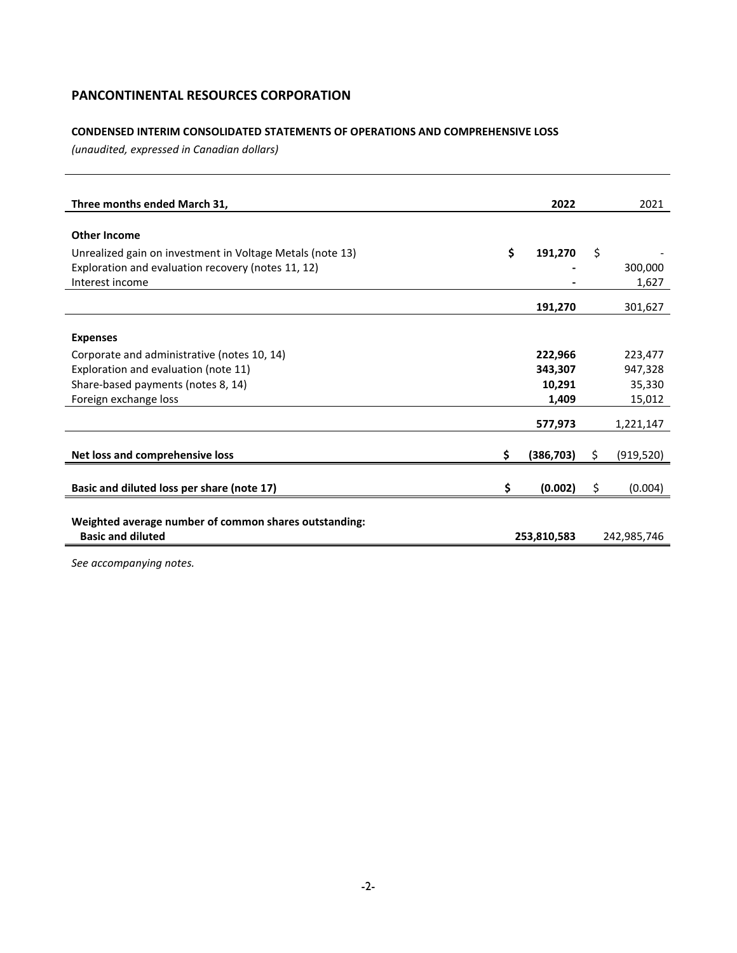## **CONDENSED INTERIM CONSOLIDATED STATEMENTS OF OPERATIONS AND COMPREHENSIVE LOSS**

*(unaudited, expressed in Canadian dollars)*

| Three months ended March 31,                              | 2022             |    | 2021        |
|-----------------------------------------------------------|------------------|----|-------------|
|                                                           |                  |    |             |
| <b>Other Income</b>                                       |                  |    |             |
| Unrealized gain on investment in Voltage Metals (note 13) | \$<br>191,270    | Ś. |             |
| Exploration and evaluation recovery (notes 11, 12)        |                  |    | 300,000     |
| Interest income                                           |                  |    | 1,627       |
|                                                           | 191,270          |    | 301,627     |
|                                                           |                  |    |             |
| <b>Expenses</b>                                           |                  |    |             |
| Corporate and administrative (notes 10, 14)               | 222,966          |    | 223,477     |
| Exploration and evaluation (note 11)                      | 343,307          |    | 947,328     |
| Share-based payments (notes 8, 14)                        | 10,291           |    | 35,330      |
| Foreign exchange loss                                     | 1,409            |    | 15,012      |
|                                                           | 577,973          |    | 1,221,147   |
|                                                           |                  |    |             |
| Net loss and comprehensive loss                           | \$<br>(386, 703) | S  | (919, 520)  |
|                                                           |                  |    |             |
| Basic and diluted loss per share (note 17)                | \$<br>(0.002)    | \$ | (0.004)     |
|                                                           |                  |    |             |
| Weighted average number of common shares outstanding:     |                  |    |             |
| <b>Basic and diluted</b>                                  | 253,810,583      |    | 242,985,746 |
|                                                           |                  |    |             |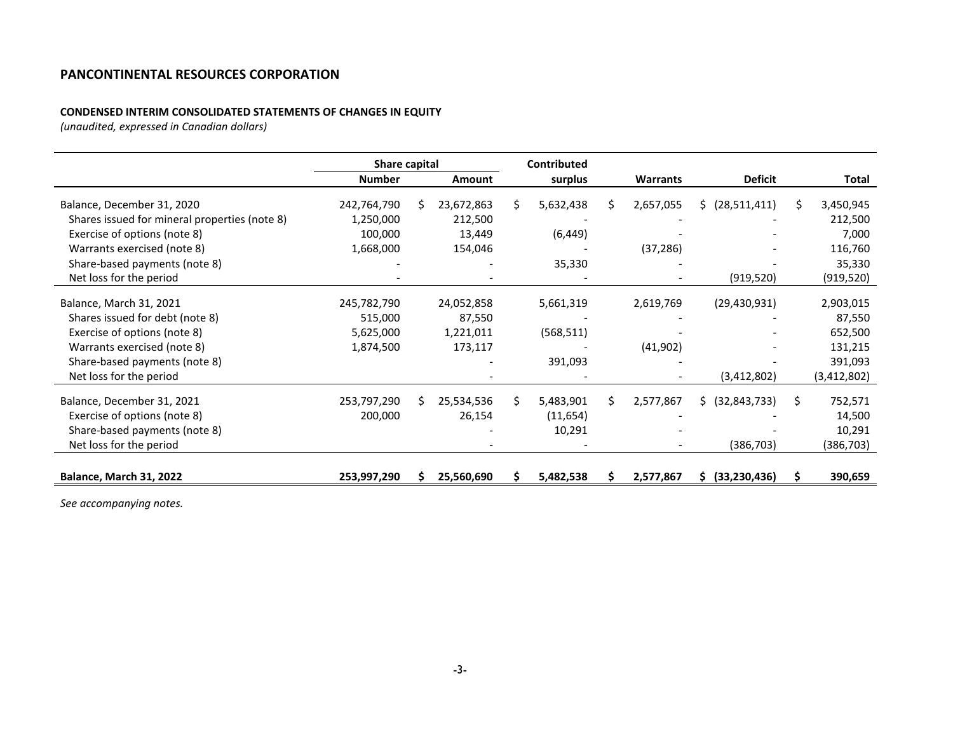## **CONDENSED INTERIM CONSOLIDATED STATEMENTS OF CHANGES IN EQUITY**

*(unaudited, expressed in Canadian dollars)*

|                                               | Share capital |    |            |    | <b>Contributed</b> |    |                 |                      |    |               |
|-----------------------------------------------|---------------|----|------------|----|--------------------|----|-----------------|----------------------|----|---------------|
|                                               | <b>Number</b> |    | Amount     |    | surplus            |    | <b>Warrants</b> | <b>Deficit</b>       |    | Total         |
| Balance, December 31, 2020                    | 242,764,790   | S  | 23,672,863 | S. | 5,632,438          | S  | 2,657,055       | \$ (28,511,411)      | Ŝ. | 3,450,945     |
| Shares issued for mineral properties (note 8) | 1,250,000     |    | 212,500    |    |                    |    |                 |                      |    | 212,500       |
| Exercise of options (note 8)                  | 100,000       |    | 13,449     |    | (6, 449)           |    |                 |                      |    | 7,000         |
| Warrants exercised (note 8)                   | 1,668,000     |    | 154,046    |    |                    |    | (37, 286)       |                      |    | 116,760       |
| Share-based payments (note 8)                 |               |    |            |    | 35,330             |    |                 |                      |    | 35,330        |
| Net loss for the period                       |               |    |            |    |                    |    |                 | (919, 520)           |    | (919, 520)    |
|                                               |               |    |            |    |                    |    |                 |                      |    |               |
| Balance, March 31, 2021                       | 245,782,790   |    | 24,052,858 |    | 5,661,319          |    | 2,619,769       | (29, 430, 931)       |    | 2,903,015     |
| Shares issued for debt (note 8)               | 515,000       |    | 87,550     |    |                    |    |                 |                      |    | 87,550        |
| Exercise of options (note 8)                  | 5,625,000     |    | 1,221,011  |    | (568, 511)         |    |                 |                      |    | 652,500       |
| Warrants exercised (note 8)                   | 1,874,500     |    | 173,117    |    |                    |    | (41,902)        |                      |    | 131,215       |
| Share-based payments (note 8)                 |               |    |            |    | 391,093            |    |                 |                      |    | 391,093       |
| Net loss for the period                       |               |    |            |    |                    |    |                 | (3, 412, 802)        |    | (3, 412, 802) |
| Balance, December 31, 2021                    | 253,797,290   | S. | 25,534,536 | Ś. | 5,483,901          | S. | 2,577,867       | \$ (32,843,733)      | Ŝ. | 752,571       |
| Exercise of options (note 8)                  | 200,000       |    | 26,154     |    | (11, 654)          |    |                 |                      |    | 14,500        |
| Share-based payments (note 8)                 |               |    |            |    | 10,291             |    |                 |                      |    | 10,291        |
| Net loss for the period                       |               |    |            |    |                    |    |                 | (386, 703)           |    | (386, 703)    |
|                                               |               |    |            |    |                    |    |                 |                      |    |               |
| Balance, March 31, 2022                       | 253,997,290   |    | 25,560,690 |    | 5,482,538          |    | 2,577,867       | (33, 230, 436)<br>S. |    | 390,659       |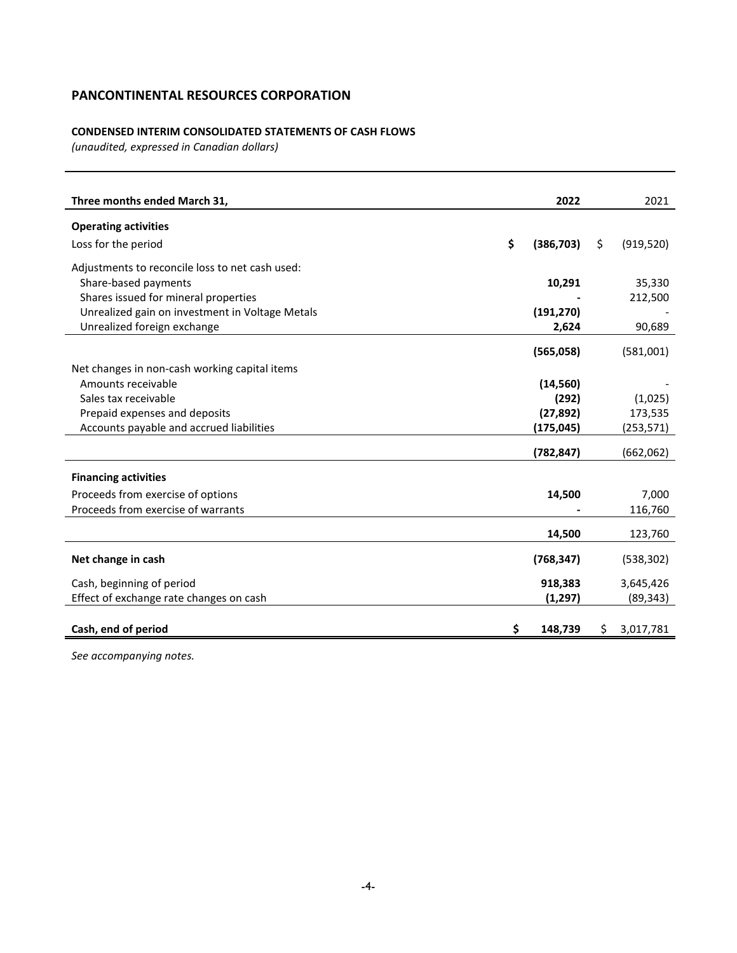## **CONDENSED INTERIM CONSOLIDATED STATEMENTS OF CASH FLOWS**

*(unaudited, expressed in Canadian dollars)*

| Three months ended March 31,                    | 2022             |    | 2021       |
|-------------------------------------------------|------------------|----|------------|
| <b>Operating activities</b>                     |                  |    |            |
| Loss for the period                             | \$<br>(386, 703) | Ŝ. | (919, 520) |
| Adjustments to reconcile loss to net cash used: |                  |    |            |
| Share-based payments                            | 10,291           |    | 35,330     |
| Shares issued for mineral properties            |                  |    | 212,500    |
| Unrealized gain on investment in Voltage Metals | (191, 270)       |    |            |
| Unrealized foreign exchange                     | 2,624            |    | 90,689     |
|                                                 | (565,058)        |    | (581,001)  |
| Net changes in non-cash working capital items   |                  |    |            |
| Amounts receivable                              | (14, 560)        |    |            |
| Sales tax receivable                            | (292)            |    | (1,025)    |
| Prepaid expenses and deposits                   | (27, 892)        |    | 173,535    |
| Accounts payable and accrued liabilities        | (175, 045)       |    | (253, 571) |
|                                                 | (782, 847)       |    | (662,062)  |
|                                                 |                  |    |            |
| <b>Financing activities</b>                     |                  |    |            |
| Proceeds from exercise of options               | 14,500           |    | 7,000      |
| Proceeds from exercise of warrants              |                  |    | 116,760    |
|                                                 | 14,500           |    | 123,760    |
| Net change in cash                              | (768, 347)       |    | (538, 302) |
|                                                 |                  |    |            |
| Cash, beginning of period                       | 918,383          |    | 3,645,426  |
| Effect of exchange rate changes on cash         | (1, 297)         |    | (89, 343)  |
| Cash, end of period                             | \$<br>148,739    | S. | 3,017,781  |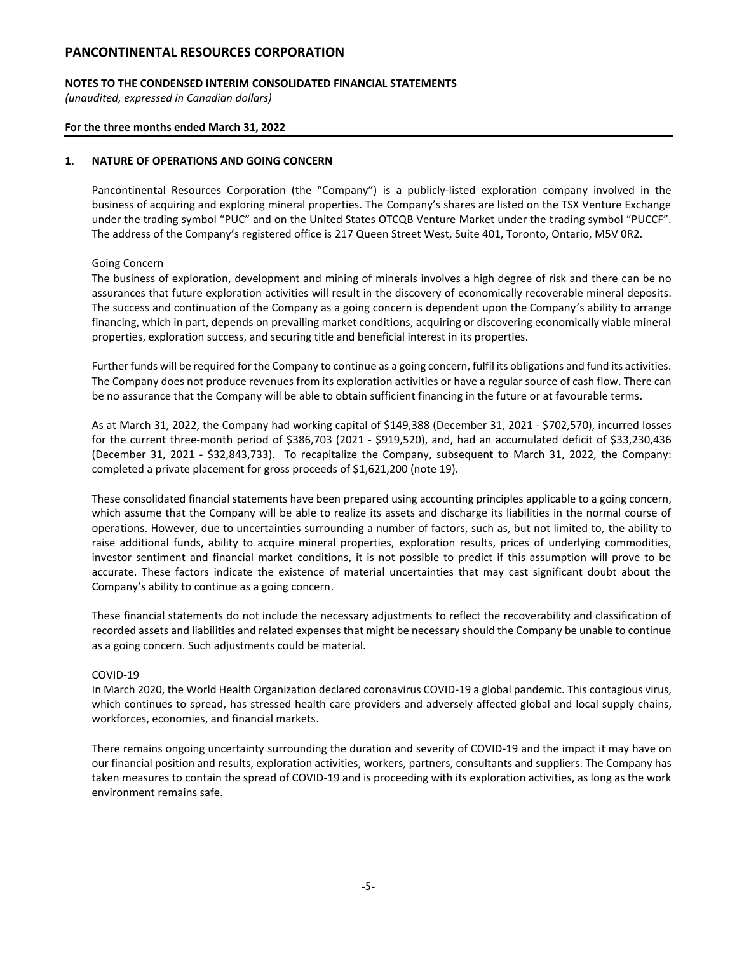## **NOTES TO THE CONDENSED INTERIM CONSOLIDATED FINANCIAL STATEMENTS**

*(unaudited, expressed in Canadian dollars)*

### **For the three months ended March 31, 2022**

### **1. NATURE OF OPERATIONS AND GOING CONCERN**

Pancontinental Resources Corporation (the "Company") is a publicly-listed exploration company involved in the business of acquiring and exploring mineral properties. The Company's shares are listed on the TSX Venture Exchange under the trading symbol "PUC" and on the United States OTCQB Venture Market under the trading symbol "PUCCF". The address of the Company's registered office is 217 Queen Street West, Suite 401, Toronto, Ontario, M5V 0R2.

### Going Concern

The business of exploration, development and mining of minerals involves a high degree of risk and there can be no assurances that future exploration activities will result in the discovery of economically recoverable mineral deposits. The success and continuation of the Company as a going concern is dependent upon the Company's ability to arrange financing, which in part, depends on prevailing market conditions, acquiring or discovering economically viable mineral properties, exploration success, and securing title and beneficial interest in its properties.

Further funds will be required for the Company to continue as a going concern, fulfil its obligations and fund its activities. The Company does not produce revenues from its exploration activities or have a regular source of cash flow. There can be no assurance that the Company will be able to obtain sufficient financing in the future or at favourable terms.

As at March 31, 2022, the Company had working capital of \$149,388 (December 31, 2021 - \$702,570), incurred losses for the current three-month period of \$386,703 (2021 - \$919,520), and, had an accumulated deficit of \$33,230,436 (December 31, 2021 - \$32,843,733). To recapitalize the Company, subsequent to March 31, 2022, the Company: completed a private placement for gross proceeds of \$1,621,200 (note 19).

These consolidated financial statements have been prepared using accounting principles applicable to a going concern, which assume that the Company will be able to realize its assets and discharge its liabilities in the normal course of operations. However, due to uncertainties surrounding a number of factors, such as, but not limited to, the ability to raise additional funds, ability to acquire mineral properties, exploration results, prices of underlying commodities, investor sentiment and financial market conditions, it is not possible to predict if this assumption will prove to be accurate. These factors indicate the existence of material uncertainties that may cast significant doubt about the Company's ability to continue as a going concern.

These financial statements do not include the necessary adjustments to reflect the recoverability and classification of recorded assets and liabilities and related expenses that might be necessary should the Company be unable to continue as a going concern. Such adjustments could be material.

## COVID-19

In March 2020, the World Health Organization declared coronavirus COVID-19 a global pandemic. This contagious virus, which continues to spread, has stressed health care providers and adversely affected global and local supply chains, workforces, economies, and financial markets.

There remains ongoing uncertainty surrounding the duration and severity of COVID-19 and the impact it may have on our financial position and results, exploration activities, workers, partners, consultants and suppliers. The Company has taken measures to contain the spread of COVID-19 and is proceeding with its exploration activities, as long as the work environment remains safe.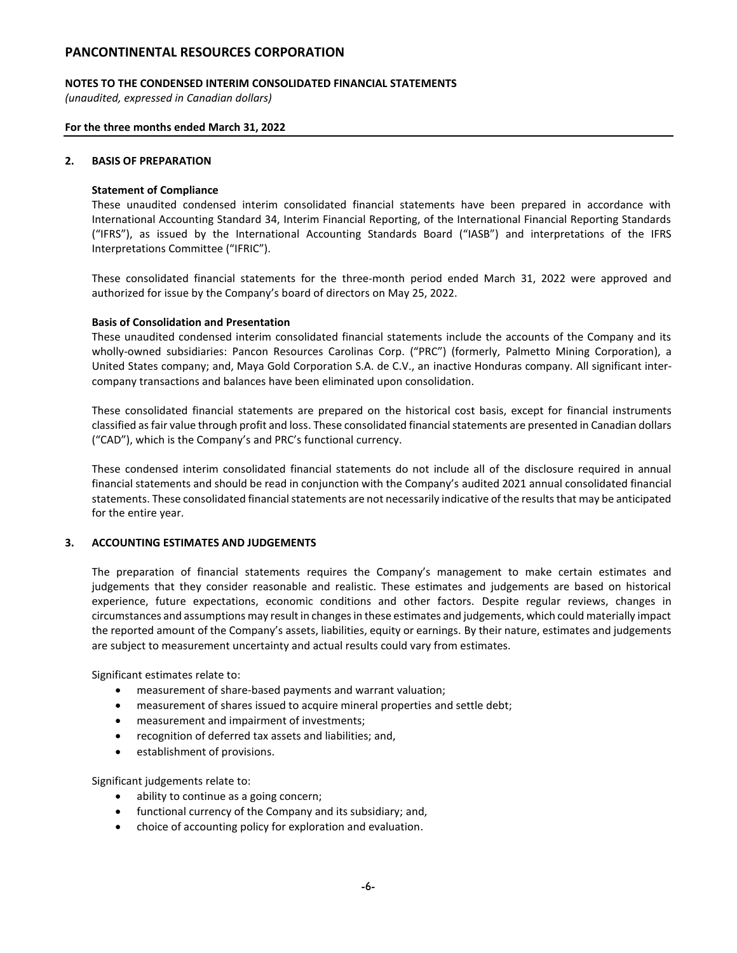### **NOTES TO THE CONDENSED INTERIM CONSOLIDATED FINANCIAL STATEMENTS**

*(unaudited, expressed in Canadian dollars)*

#### **For the three months ended March 31, 2022**

### **2. BASIS OF PREPARATION**

## **Statement of Compliance**

These unaudited condensed interim consolidated financial statements have been prepared in accordance with International Accounting Standard 34, Interim Financial Reporting, of the International Financial Reporting Standards ("IFRS"), as issued by the International Accounting Standards Board ("IASB") and interpretations of the IFRS Interpretations Committee ("IFRIC").

These consolidated financial statements for the three-month period ended March 31, 2022 were approved and authorized for issue by the Company's board of directors on May 25, 2022.

#### **Basis of Consolidation and Presentation**

These unaudited condensed interim consolidated financial statements include the accounts of the Company and its wholly-owned subsidiaries: Pancon Resources Carolinas Corp. ("PRC") (formerly, Palmetto Mining Corporation), a United States company; and, Maya Gold Corporation S.A. de C.V., an inactive Honduras company. All significant intercompany transactions and balances have been eliminated upon consolidation.

These consolidated financial statements are prepared on the historical cost basis, except for financial instruments classified as fair value through profit and loss. These consolidated financial statements are presented in Canadian dollars ("CAD"), which is the Company's and PRC's functional currency.

These condensed interim consolidated financial statements do not include all of the disclosure required in annual financial statements and should be read in conjunction with the Company's audited 2021 annual consolidated financial statements. These consolidated financial statements are not necessarily indicative of the results that may be anticipated for the entire year.

## **3. ACCOUNTING ESTIMATES AND JUDGEMENTS**

The preparation of financial statements requires the Company's management to make certain estimates and judgements that they consider reasonable and realistic. These estimates and judgements are based on historical experience, future expectations, economic conditions and other factors. Despite regular reviews, changes in circumstances and assumptions may result in changes in these estimates and judgements, which could materially impact the reported amount of the Company's assets, liabilities, equity or earnings. By their nature, estimates and judgements are subject to measurement uncertainty and actual results could vary from estimates.

Significant estimates relate to:

- measurement of share-based payments and warrant valuation;
- measurement of shares issued to acquire mineral properties and settle debt;
- measurement and impairment of investments;
- recognition of deferred tax assets and liabilities; and,
- establishment of provisions.

Significant judgements relate to:

- ability to continue as a going concern;
- functional currency of the Company and its subsidiary; and,
- choice of accounting policy for exploration and evaluation.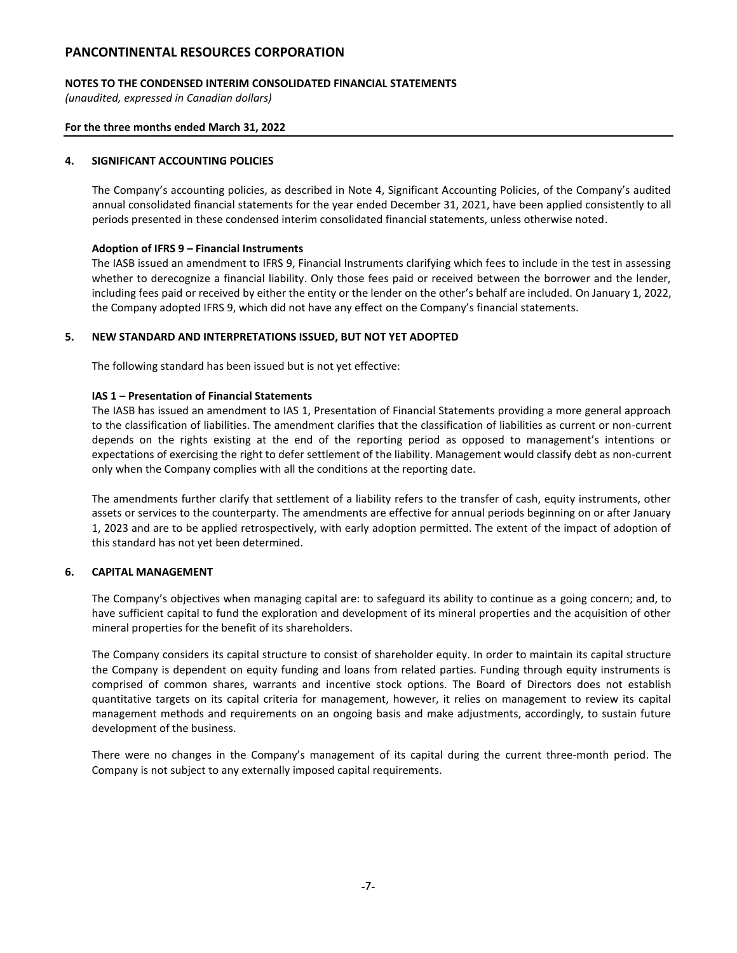## **NOTES TO THE CONDENSED INTERIM CONSOLIDATED FINANCIAL STATEMENTS**

*(unaudited, expressed in Canadian dollars)*

### **For the three months ended March 31, 2022**

### **4. SIGNIFICANT ACCOUNTING POLICIES**

The Company's accounting policies, as described in Note 4, Significant Accounting Policies, of the Company's audited annual consolidated financial statements for the year ended December 31, 2021, have been applied consistently to all periods presented in these condensed interim consolidated financial statements, unless otherwise noted.

### **Adoption of IFRS 9 – Financial Instruments**

The IASB issued an amendment to IFRS 9, Financial Instruments clarifying which fees to include in the test in assessing whether to derecognize a financial liability. Only those fees paid or received between the borrower and the lender, including fees paid or received by either the entity or the lender on the other's behalf are included. On January 1, 2022, the Company adopted IFRS 9, which did not have any effect on the Company's financial statements.

### **5. NEW STANDARD AND INTERPRETATIONS ISSUED, BUT NOT YET ADOPTED**

The following standard has been issued but is not yet effective:

#### **IAS 1 – Presentation of Financial Statements**

The IASB has issued an amendment to IAS 1, Presentation of Financial Statements providing a more general approach to the classification of liabilities. The amendment clarifies that the classification of liabilities as current or non-current depends on the rights existing at the end of the reporting period as opposed to management's intentions or expectations of exercising the right to defer settlement of the liability. Management would classify debt as non-current only when the Company complies with all the conditions at the reporting date.

The amendments further clarify that settlement of a liability refers to the transfer of cash, equity instruments, other assets or services to the counterparty. The amendments are effective for annual periods beginning on or after January 1, 2023 and are to be applied retrospectively, with early adoption permitted. The extent of the impact of adoption of this standard has not yet been determined.

## **6. CAPITAL MANAGEMENT**

The Company's objectives when managing capital are: to safeguard its ability to continue as a going concern; and, to have sufficient capital to fund the exploration and development of its mineral properties and the acquisition of other mineral properties for the benefit of its shareholders.

The Company considers its capital structure to consist of shareholder equity. In order to maintain its capital structure the Company is dependent on equity funding and loans from related parties. Funding through equity instruments is comprised of common shares, warrants and incentive stock options. The Board of Directors does not establish quantitative targets on its capital criteria for management, however, it relies on management to review its capital management methods and requirements on an ongoing basis and make adjustments, accordingly, to sustain future development of the business.

There were no changes in the Company's management of its capital during the current three-month period. The Company is not subject to any externally imposed capital requirements.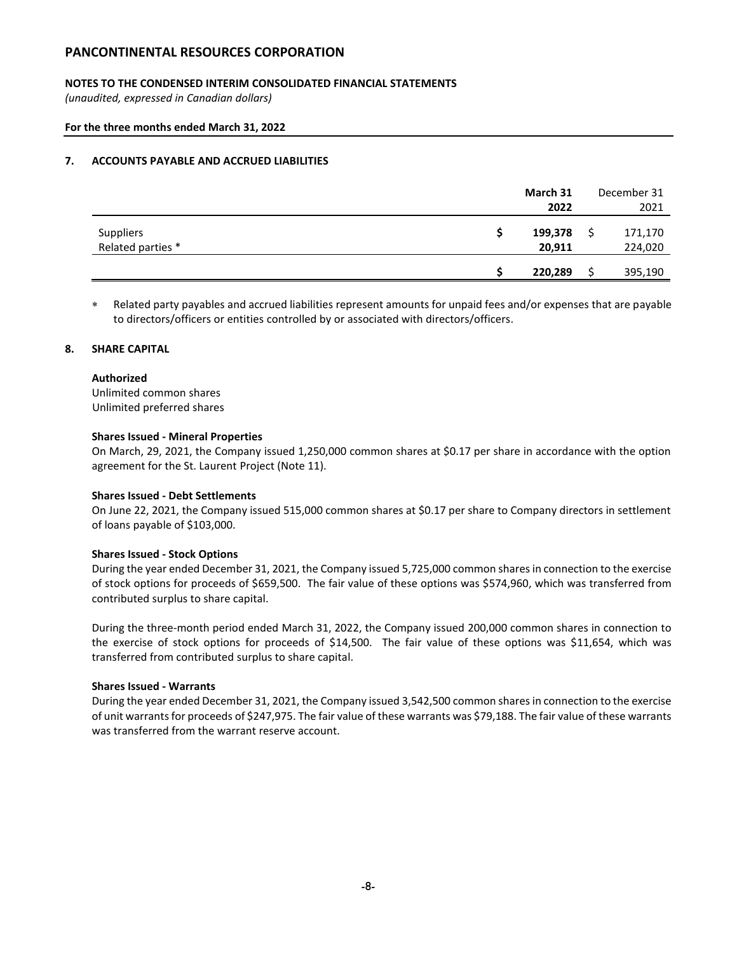## **NOTES TO THE CONDENSED INTERIM CONSOLIDATED FINANCIAL STATEMENTS**

*(unaudited, expressed in Canadian dollars)*

#### **For the three months ended March 31, 2022**

### **7. ACCOUNTS PAYABLE AND ACCRUED LIABILITIES**

|                                       | March 31          | December 31 |
|---------------------------------------|-------------------|-------------|
|                                       | 2022              | 2021        |
| <b>Suppliers</b><br>Related parties * | 199,378<br>20,911 | 171,170     |
|                                       |                   | 224,020     |
|                                       | 220,289           | 395,190     |

 Related party payables and accrued liabilities represent amounts for unpaid fees and/or expenses that are payable to directors/officers or entities controlled by or associated with directors/officers.

### **8. SHARE CAPITAL**

#### **Authorized**

Unlimited common shares Unlimited preferred shares

#### **Shares Issued - Mineral Properties**

On March, 29, 2021, the Company issued 1,250,000 common shares at \$0.17 per share in accordance with the option agreement for the St. Laurent Project (Note 11).

### **Shares Issued - Debt Settlements**

On June 22, 2021, the Company issued 515,000 common shares at \$0.17 per share to Company directors in settlement of loans payable of \$103,000.

#### **Shares Issued - Stock Options**

During the year ended December 31, 2021, the Company issued 5,725,000 common shares in connection to the exercise of stock options for proceeds of \$659,500. The fair value of these options was \$574,960, which was transferred from contributed surplus to share capital.

During the three-month period ended March 31, 2022, the Company issued 200,000 common shares in connection to the exercise of stock options for proceeds of \$14,500. The fair value of these options was \$11,654, which was transferred from contributed surplus to share capital.

#### **Shares Issued - Warrants**

During the year ended December 31, 2021, the Company issued 3,542,500 common shares in connection to the exercise of unit warrants for proceeds of \$247,975. The fair value of these warrants was \$79,188. The fair value of these warrants was transferred from the warrant reserve account.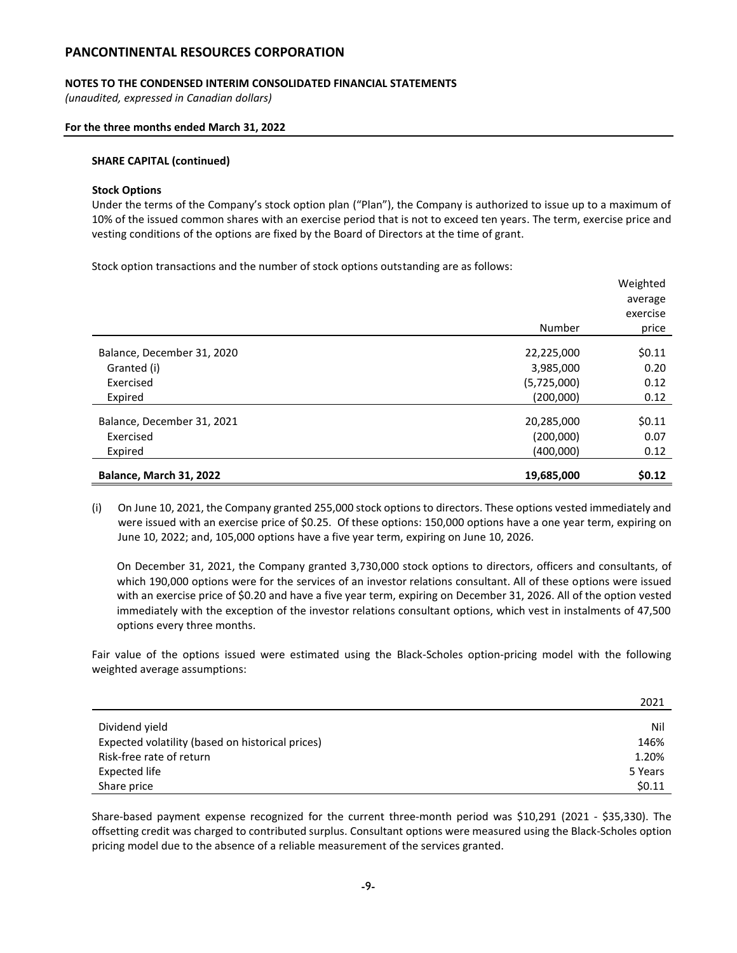### **NOTES TO THE CONDENSED INTERIM CONSOLIDATED FINANCIAL STATEMENTS**

*(unaudited, expressed in Canadian dollars)*

#### **For the three months ended March 31, 2022**

#### **SHARE CAPITAL (continued)**

#### **Stock Options**

Under the terms of the Company's stock option plan ("Plan"), the Company is authorized to issue up to a maximum of 10% of the issued common shares with an exercise period that is not to exceed ten years. The term, exercise price and vesting conditions of the options are fixed by the Board of Directors at the time of grant.

Stock option transactions and the number of stock options outstanding are as follows:

|                            |             | Weighted |
|----------------------------|-------------|----------|
|                            |             | average  |
|                            |             | exercise |
|                            | Number      | price    |
|                            |             |          |
| Balance, December 31, 2020 | 22,225,000  | \$0.11   |
| Granted (i)                | 3,985,000   | 0.20     |
| Exercised                  | (5,725,000) | 0.12     |
| Expired                    | (200,000)   | 0.12     |
|                            |             |          |
| Balance, December 31, 2021 | 20,285,000  | \$0.11   |
| Exercised                  | (200,000)   | 0.07     |
| Expired                    | (400,000)   | 0.12     |
|                            |             |          |
| Balance, March 31, 2022    | 19,685,000  | \$0.12   |

(i) On June 10, 2021, the Company granted 255,000 stock options to directors. These options vested immediately and were issued with an exercise price of \$0.25. Of these options: 150,000 options have a one year term, expiring on June 10, 2022; and, 105,000 options have a five year term, expiring on June 10, 2026.

On December 31, 2021, the Company granted 3,730,000 stock options to directors, officers and consultants, of which 190,000 options were for the services of an investor relations consultant. All of these options were issued with an exercise price of \$0.20 and have a five year term, expiring on December 31, 2026. All of the option vested immediately with the exception of the investor relations consultant options, which vest in instalments of 47,500 options every three months.

Fair value of the options issued were estimated using the Black-Scholes option-pricing model with the following weighted average assumptions:

|                                                  | 2021    |
|--------------------------------------------------|---------|
|                                                  |         |
| Dividend yield                                   | Nil     |
| Expected volatility (based on historical prices) | 146%    |
| Risk-free rate of return                         | 1.20%   |
| Expected life                                    | 5 Years |
| Share price                                      | \$0.11  |

Share-based payment expense recognized for the current three-month period was \$10,291 (2021 - \$35,330). The offsetting credit was charged to contributed surplus. Consultant options were measured using the Black-Scholes option pricing model due to the absence of a reliable measurement of the services granted.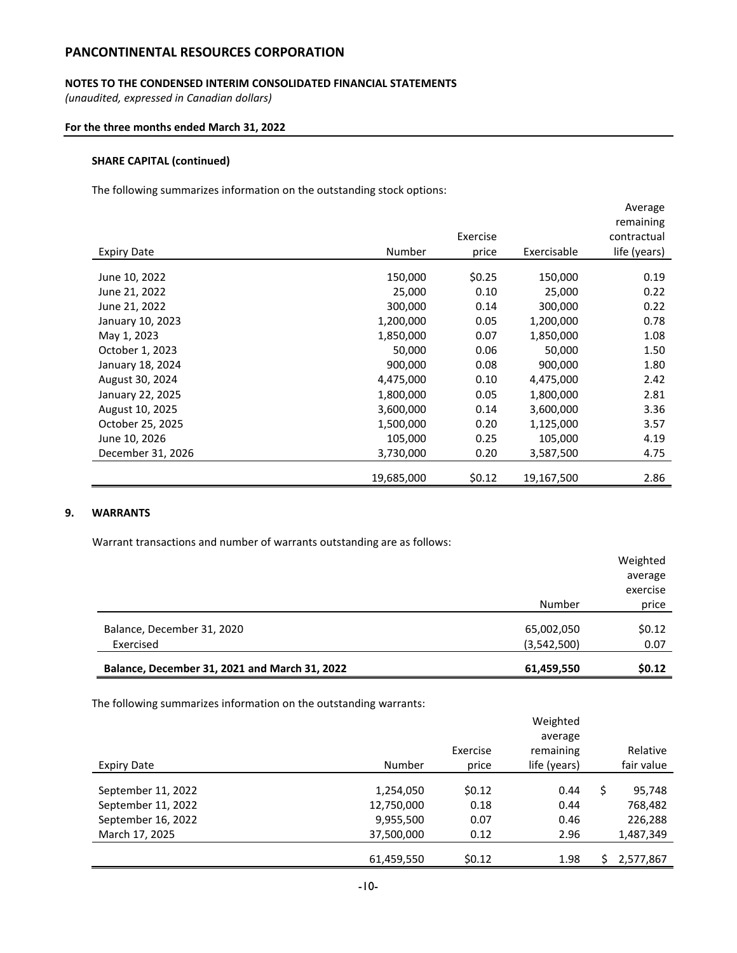### **NOTES TO THE CONDENSED INTERIM CONSOLIDATED FINANCIAL STATEMENTS**

*(unaudited, expressed in Canadian dollars)*

#### **For the three months ended March 31, 2022**

## **SHARE CAPITAL (continued)**

The following summarizes information on the outstanding stock options:

|                    |            |          |             | Average      |
|--------------------|------------|----------|-------------|--------------|
|                    |            |          |             | remaining    |
|                    |            | Exercise |             | contractual  |
| <b>Expiry Date</b> | Number     | price    | Exercisable | life (years) |
|                    |            |          |             |              |
| June 10, 2022      | 150,000    | \$0.25   | 150,000     | 0.19         |
| June 21, 2022      | 25,000     | 0.10     | 25,000      | 0.22         |
| June 21, 2022      | 300,000    | 0.14     | 300,000     | 0.22         |
| January 10, 2023   | 1,200,000  | 0.05     | 1,200,000   | 0.78         |
| May 1, 2023        | 1,850,000  | 0.07     | 1,850,000   | 1.08         |
| October 1, 2023    | 50,000     | 0.06     | 50,000      | 1.50         |
| January 18, 2024   | 900,000    | 0.08     | 900,000     | 1.80         |
| August 30, 2024    | 4,475,000  | 0.10     | 4,475,000   | 2.42         |
| January 22, 2025   | 1,800,000  | 0.05     | 1,800,000   | 2.81         |
| August 10, 2025    | 3,600,000  | 0.14     | 3,600,000   | 3.36         |
| October 25, 2025   | 1,500,000  | 0.20     | 1,125,000   | 3.57         |
| June 10, 2026      | 105,000    | 0.25     | 105,000     | 4.19         |
| December 31, 2026  | 3,730,000  | 0.20     | 3,587,500   | 4.75         |
|                    |            |          |             |              |
|                    | 19,685,000 | \$0.12   | 19,167,500  | 2.86         |

## **9. WARRANTS**

Warrant transactions and number of warrants outstanding are as follows:

|                                               |             | average  |  |
|-----------------------------------------------|-------------|----------|--|
|                                               |             | exercise |  |
|                                               | Number      | price    |  |
| Balance, December 31, 2020                    | 65,002,050  | \$0.12   |  |
| Exercised                                     | (3,542,500) | 0.07     |  |
|                                               |             |          |  |
| Balance, December 31, 2021 and March 31, 2022 | 61,459,550  | \$0.12   |  |

The following summarizes information on the outstanding warrants:

|                    |            |          | Weighted     |              |
|--------------------|------------|----------|--------------|--------------|
|                    |            |          | average      |              |
|                    |            | Exercise | remaining    | Relative     |
| <b>Expiry Date</b> | Number     | price    | life (years) | fair value   |
|                    |            |          |              |              |
| September 11, 2022 | 1,254,050  | \$0.12   | 0.44         | \$<br>95,748 |
| September 11, 2022 | 12,750,000 | 0.18     | 0.44         | 768,482      |
| September 16, 2022 | 9,955,500  | 0.07     | 0.46         | 226,288      |
| March 17, 2025     | 37,500,000 | 0.12     | 2.96         | 1,487,349    |
|                    |            |          |              |              |
|                    | 61,459,550 | \$0.12   | 1.98         | 2,577,867    |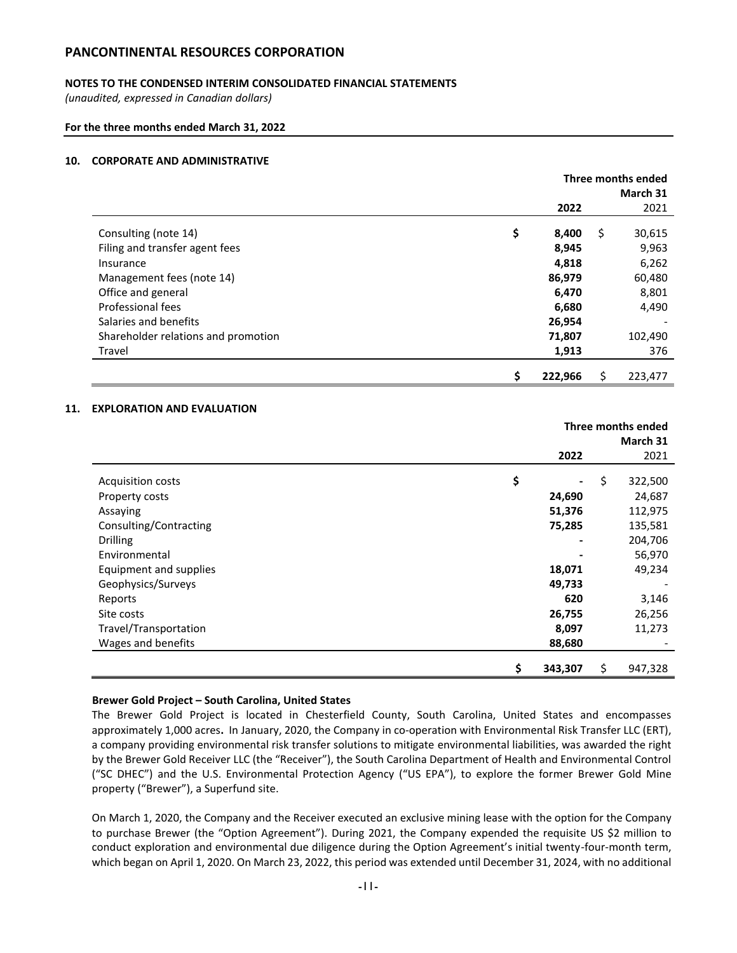## **NOTES TO THE CONDENSED INTERIM CONSOLIDATED FINANCIAL STATEMENTS**

*(unaudited, expressed in Canadian dollars)*

**For the three months ended March 31, 2022**

## **10. CORPORATE AND ADMINISTRATIVE**

|                                     | Three months ended<br>March 31 |    |         |  |
|-------------------------------------|--------------------------------|----|---------|--|
|                                     | 2022                           |    | 2021    |  |
| Consulting (note 14)                | \$<br>8,400                    | \$ | 30,615  |  |
| Filing and transfer agent fees      | 8,945                          |    | 9,963   |  |
| Insurance                           | 4,818                          |    | 6,262   |  |
| Management fees (note 14)           | 86,979                         |    | 60,480  |  |
| Office and general                  | 6,470                          |    | 8,801   |  |
| Professional fees                   | 6,680                          |    | 4,490   |  |
| Salaries and benefits               | 26,954                         |    |         |  |
| Shareholder relations and promotion | 71,807                         |    | 102,490 |  |
| Travel                              | 1,913                          |    | 376     |  |
|                                     | \$<br>222,966                  | \$ | 223,477 |  |

#### **11. EXPLORATION AND EVALUATION**

|                        | Three months ended |    |          |  |
|------------------------|--------------------|----|----------|--|
|                        |                    |    | March 31 |  |
|                        | 2022               |    | 2021     |  |
|                        |                    |    |          |  |
| Acquisition costs      | \$                 | \$ | 322,500  |  |
| Property costs         | 24,690             |    | 24,687   |  |
| Assaying               | 51,376             |    | 112,975  |  |
| Consulting/Contracting | 75,285             |    | 135,581  |  |
| <b>Drilling</b>        |                    |    | 204,706  |  |
| Environmental          |                    |    | 56,970   |  |
| Equipment and supplies | 18,071             |    | 49,234   |  |
| Geophysics/Surveys     | 49,733             |    |          |  |
| Reports                | 620                |    | 3,146    |  |
| Site costs             | 26,755             |    | 26,256   |  |
| Travel/Transportation  | 8,097              |    | 11,273   |  |
| Wages and benefits     | 88,680             |    |          |  |
|                        | \$<br>343,307      | \$ | 947,328  |  |

#### **Brewer Gold Project – South Carolina, United States**

The Brewer Gold Project is located in Chesterfield County, South Carolina, United States and encompasses approximately 1,000 acres**.** In January, 2020, the Company in co-operation with Environmental Risk Transfer LLC (ERT), a company providing environmental risk transfer solutions to mitigate environmental liabilities, was awarded the right by the Brewer Gold Receiver LLC (the "Receiver"), the South Carolina Department of Health and Environmental Control ("SC DHEC") and the U.S. Environmental Protection Agency ("US EPA"), to explore the former Brewer Gold Mine property ("Brewer"), a Superfund site.

On March 1, 2020, the Company and the Receiver executed an exclusive mining lease with the option for the Company to purchase Brewer (the "Option Agreement"). During 2021, the Company expended the requisite US \$2 million to conduct exploration and environmental due diligence during the Option Agreement's initial twenty-four-month term, which began on April 1, 2020. On March 23, 2022, this period was extended until December 31, 2024, with no additional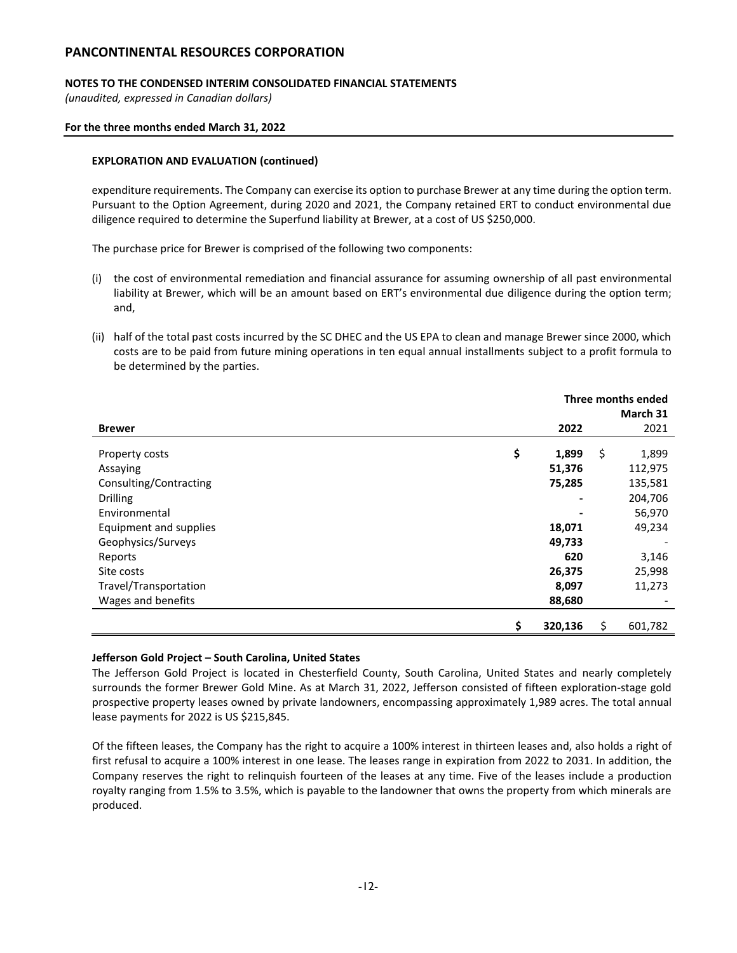## **NOTES TO THE CONDENSED INTERIM CONSOLIDATED FINANCIAL STATEMENTS**

*(unaudited, expressed in Canadian dollars)*

### **For the three months ended March 31, 2022**

### **EXPLORATION AND EVALUATION (continued)**

expenditure requirements. The Company can exercise its option to purchase Brewer at any time during the option term. Pursuant to the Option Agreement, during 2020 and 2021, the Company retained ERT to conduct environmental due diligence required to determine the Superfund liability at Brewer, at a cost of US \$250,000.

The purchase price for Brewer is comprised of the following two components:

- (i) the cost of environmental remediation and financial assurance for assuming ownership of all past environmental liability at Brewer, which will be an amount based on ERT's environmental due diligence during the option term; and,
- (ii) half of the total past costs incurred by the SC DHEC and the US EPA to clean and manage Brewer since 2000, which costs are to be paid from future mining operations in ten equal annual installments subject to a profit formula to be determined by the parties.

|                        | Three months ended |    |          |
|------------------------|--------------------|----|----------|
|                        |                    |    | March 31 |
| <b>Brewer</b>          | 2022               |    | 2021     |
|                        |                    |    |          |
| Property costs         | \$<br>1,899        | \$ | 1,899    |
| Assaying               | 51,376             |    | 112,975  |
| Consulting/Contracting | 75,285             |    | 135,581  |
| <b>Drilling</b>        |                    |    | 204,706  |
| Environmental          |                    |    | 56,970   |
| Equipment and supplies | 18,071             |    | 49,234   |
| Geophysics/Surveys     | 49,733             |    |          |
| Reports                | 620                |    | 3,146    |
| Site costs             | 26,375             |    | 25,998   |
| Travel/Transportation  | 8,097              |    | 11,273   |
| Wages and benefits     | 88,680             |    |          |
|                        | \$<br>320,136      | \$ | 601,782  |

## **Jefferson Gold Project – South Carolina, United States**

The Jefferson Gold Project is located in Chesterfield County, South Carolina, United States and nearly completely surrounds the former Brewer Gold Mine. As at March 31, 2022, Jefferson consisted of fifteen exploration-stage gold prospective property leases owned by private landowners, encompassing approximately 1,989 acres. The total annual lease payments for 2022 is US \$215,845.

Of the fifteen leases, the Company has the right to acquire a 100% interest in thirteen leases and, also holds a right of first refusal to acquire a 100% interest in one lease. The leases range in expiration from 2022 to 2031. In addition, the Company reserves the right to relinquish fourteen of the leases at any time. Five of the leases include a production royalty ranging from 1.5% to 3.5%, which is payable to the landowner that owns the property from which minerals are produced.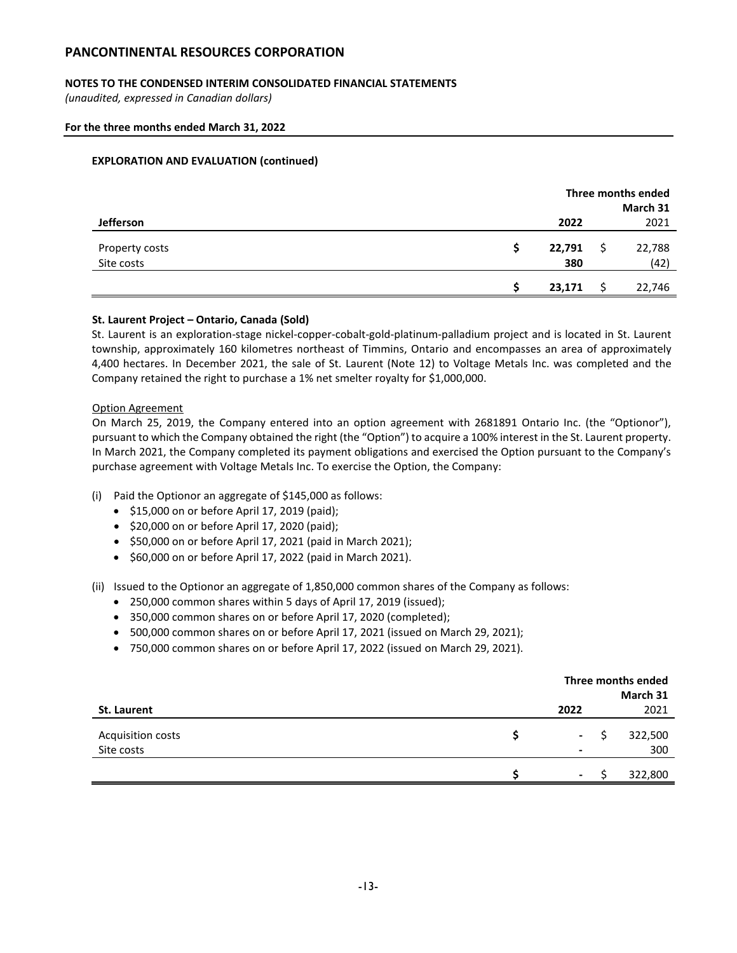## **NOTES TO THE CONDENSED INTERIM CONSOLIDATED FINANCIAL STATEMENTS**

*(unaudited, expressed in Canadian dollars)*

#### **For the three months ended March 31, 2022**

#### **EXPLORATION AND EVALUATION (continued)**

|                              | Three months ended |  |                |
|------------------------------|--------------------|--|----------------|
|                              |                    |  | March 31       |
| Jefferson                    | 2022               |  | 2021           |
| Property costs<br>Site costs | 22,791<br>380      |  | 22,788<br>(42) |
|                              | 23,171             |  | 22,746         |

#### **St. Laurent Project – Ontario, Canada (Sold)**

St. Laurent is an exploration-stage nickel-copper-cobalt-gold-platinum-palladium project and is located in St. Laurent township, approximately 160 kilometres northeast of Timmins, Ontario and encompasses an area of approximately 4,400 hectares. In December 2021, the sale of St. Laurent (Note 12) to Voltage Metals Inc. was completed and the Company retained the right to purchase a 1% net smelter royalty for \$1,000,000.

#### Option Agreement

On March 25, 2019, the Company entered into an option agreement with 2681891 Ontario Inc. (the "Optionor"), pursuant to which the Company obtained the right (the "Option") to acquire a 100% interest in the St. Laurent property. In March 2021, the Company completed its payment obligations and exercised the Option pursuant to the Company's purchase agreement with Voltage Metals Inc. To exercise the Option, the Company:

- (i) Paid the Optionor an aggregate of \$145,000 as follows:
	- \$15,000 on or before April 17, 2019 (paid);
	- \$20,000 on or before April 17, 2020 (paid);
	- \$50,000 on or before April 17, 2021 (paid in March 2021);
	- \$60,000 on or before April 17, 2022 (paid in March 2021).

(ii) Issued to the Optionor an aggregate of 1,850,000 common shares of the Company as follows:

- 250,000 common shares within 5 days of April 17, 2019 (issued);
- 350,000 common shares on or before April 17, 2020 (completed);
- 500,000 common shares on or before April 17, 2021 (issued on March 29, 2021);
- 750,000 common shares on or before April 17, 2022 (issued on March 29, 2021).

|                   | Three months ended |   |          |
|-------------------|--------------------|---|----------|
|                   |                    |   | March 31 |
| St. Laurent       | 2022               |   | 2021     |
| Acquisition costs | $\sim 100$         | S | 322,500  |
| Site costs        | $\blacksquare$     |   | 300      |
|                   | $\blacksquare$     |   | 322,800  |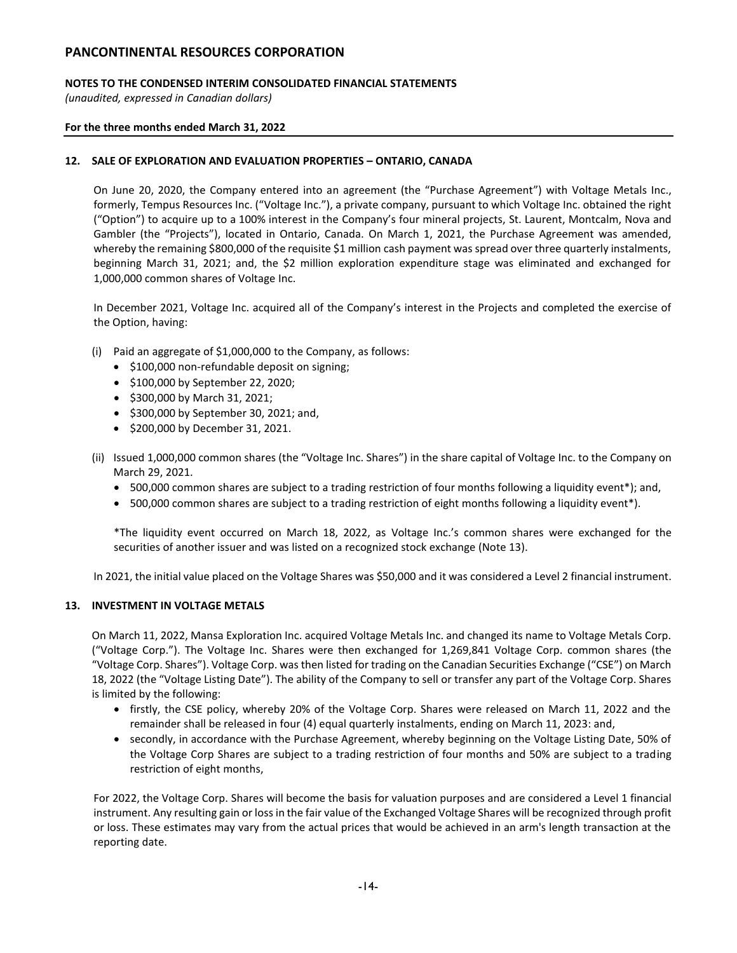## **NOTES TO THE CONDENSED INTERIM CONSOLIDATED FINANCIAL STATEMENTS**

*(unaudited, expressed in Canadian dollars)*

### **For the three months ended March 31, 2022**

## **12. SALE OF EXPLORATION AND EVALUATION PROPERTIES – ONTARIO, CANADA**

On June 20, 2020, the Company entered into an agreement (the "Purchase Agreement") with Voltage Metals Inc., formerly, Tempus Resources Inc. ("Voltage Inc."), a private company, pursuant to which Voltage Inc. obtained the right ("Option") to acquire up to a 100% interest in the Company's four mineral projects, St. Laurent, Montcalm, Nova and Gambler (the "Projects"), located in Ontario, Canada. On March 1, 2021, the Purchase Agreement was amended, whereby the remaining \$800,000 of the requisite \$1 million cash payment was spread over three quarterly instalments, beginning March 31, 2021; and, the \$2 million exploration expenditure stage was eliminated and exchanged for 1,000,000 common shares of Voltage Inc.

In December 2021, Voltage Inc. acquired all of the Company's interest in the Projects and completed the exercise of the Option, having:

- (i) Paid an aggregate of \$1,000,000 to the Company, as follows:
	- \$100,000 non-refundable deposit on signing;
	- \$100,000 by September 22, 2020;
	- \$300,000 by March 31, 2021;
	- \$300,000 by September 30, 2021; and,
	- \$200,000 by December 31, 2021.
- (ii) Issued 1,000,000 common shares (the "Voltage Inc. Shares") in the share capital of Voltage Inc. to the Company on March 29, 2021.
	- 500,000 common shares are subject to a trading restriction of four months following a liquidity event\*); and,
	- 500,000 common shares are subject to a trading restriction of eight months following a liquidity event\*).

\*The liquidity event occurred on March 18, 2022, as Voltage Inc.'s common shares were exchanged for the securities of another issuer and was listed on a recognized stock exchange (Note 13).

In 2021, the initial value placed on the Voltage Shares was \$50,000 and it was considered a Level 2 financial instrument.

## **13. INVESTMENT IN VOLTAGE METALS**

On March 11, 2022, Mansa Exploration Inc. acquired Voltage Metals Inc. and changed its name to Voltage Metals Corp. ("Voltage Corp."). The Voltage Inc. Shares were then exchanged for 1,269,841 Voltage Corp. common shares (the "Voltage Corp. Shares"). Voltage Corp. was then listed for trading on the Canadian Securities Exchange ("CSE") on March 18, 2022 (the "Voltage Listing Date"). The ability of the Company to sell or transfer any part of the Voltage Corp. Shares is limited by the following:

- firstly, the CSE policy, whereby 20% of the Voltage Corp. Shares were released on March 11, 2022 and the remainder shall be released in four (4) equal quarterly instalments, ending on March 11, 2023: and,
- secondly, in accordance with the Purchase Agreement, whereby beginning on the Voltage Listing Date, 50% of the Voltage Corp Shares are subject to a trading restriction of four months and 50% are subject to a trading restriction of eight months,

For 2022, the Voltage Corp. Shares will become the basis for valuation purposes and are considered a Level 1 financial instrument. Any resulting gain or loss in the fair value of the Exchanged Voltage Shares will be recognized through profit or loss. These estimates may vary from the actual prices that would be achieved in an arm's length transaction at the reporting date.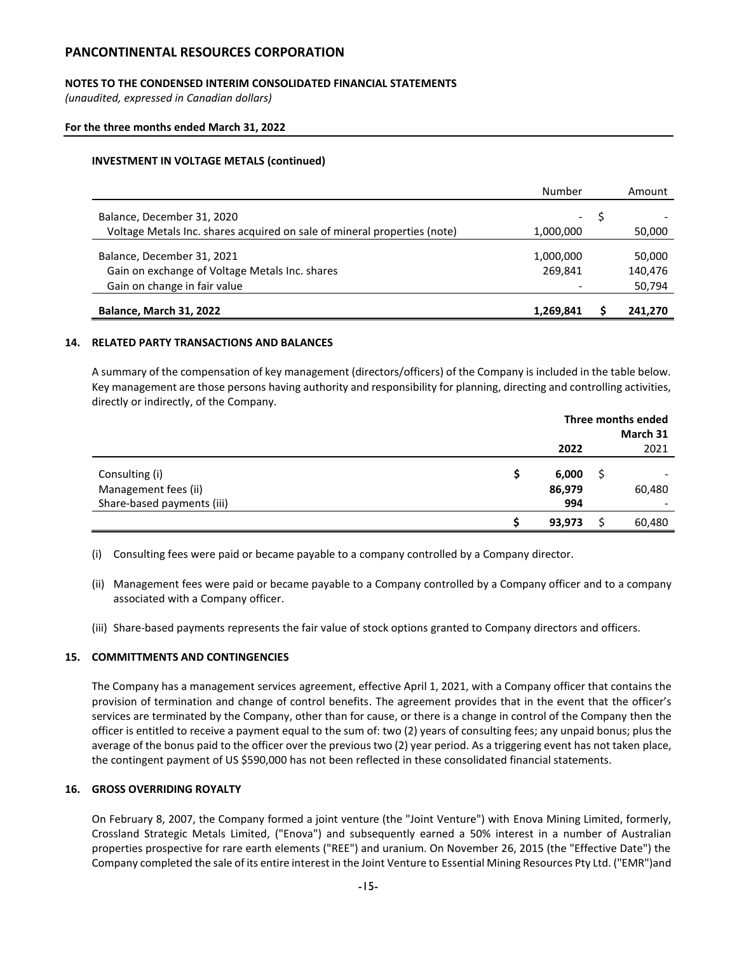## **NOTES TO THE CONDENSED INTERIM CONSOLIDATED FINANCIAL STATEMENTS**

*(unaudited, expressed in Canadian dollars)*

### **For the three months ended March 31, 2022**

### **INVESTMENT IN VOLTAGE METALS (continued)**

|                                                                          | Number     | Amount  |
|--------------------------------------------------------------------------|------------|---------|
| Balance, December 31, 2020                                               | $\sim 100$ |         |
| Voltage Metals Inc. shares acquired on sale of mineral properties (note) |            |         |
|                                                                          | 1,000,000  | 50,000  |
| Balance, December 31, 2021                                               | 1,000,000  | 50,000  |
| Gain on exchange of Voltage Metals Inc. shares                           | 269.841    | 140,476 |
| Gain on change in fair value                                             |            | 50,794  |
| <b>Balance, March 31, 2022</b>                                           | 1,269,841  | 241.270 |

#### **14. RELATED PARTY TRANSACTIONS AND BALANCES**

A summary of the compensation of key management (directors/officers) of the Company is included in the table below. Key management are those persons having authority and responsibility for planning, directing and controlling activities, directly or indirectly, of the Company.

|                                                                      | Three months ended<br>March 31 |  |        |
|----------------------------------------------------------------------|--------------------------------|--|--------|
|                                                                      | 2022                           |  | 2021   |
| Consulting (i)<br>Management fees (ii)<br>Share-based payments (iii) | 6,000<br>86,979<br>994         |  | 60,480 |
|                                                                      | 93,973                         |  | 60,480 |

(i) Consulting fees were paid or became payable to a company controlled by a Company director.

- (ii) Management fees were paid or became payable to a Company controlled by a Company officer and to a company associated with a Company officer.
- (iii) Share-based payments represents the fair value of stock options granted to Company directors and officers.

## **15. COMMITTMENTS AND CONTINGENCIES**

The Company has a management services agreement, effective April 1, 2021, with a Company officer that contains the provision of termination and change of control benefits. The agreement provides that in the event that the officer's services are terminated by the Company, other than for cause, or there is a change in control of the Company then the officer is entitled to receive a payment equal to the sum of: two (2) years of consulting fees; any unpaid bonus; plus the average of the bonus paid to the officer over the previous two (2) year period. As a triggering event has not taken place, the contingent payment of US \$590,000 has not been reflected in these consolidated financial statements.

### **16. GROSS OVERRIDING ROYALTY**

On February 8, 2007, the Company formed a joint venture (the "Joint Venture") with Enova Mining Limited, formerly, Crossland Strategic Metals Limited, ("Enova") and subsequently earned a 50% interest in a number of Australian properties prospective for rare earth elements ("REE") and uranium. On November 26, 2015 (the "Effective Date") the Company completed the sale of its entire interest in the Joint Venture to Essential Mining Resources Pty Ltd. ("EMR")and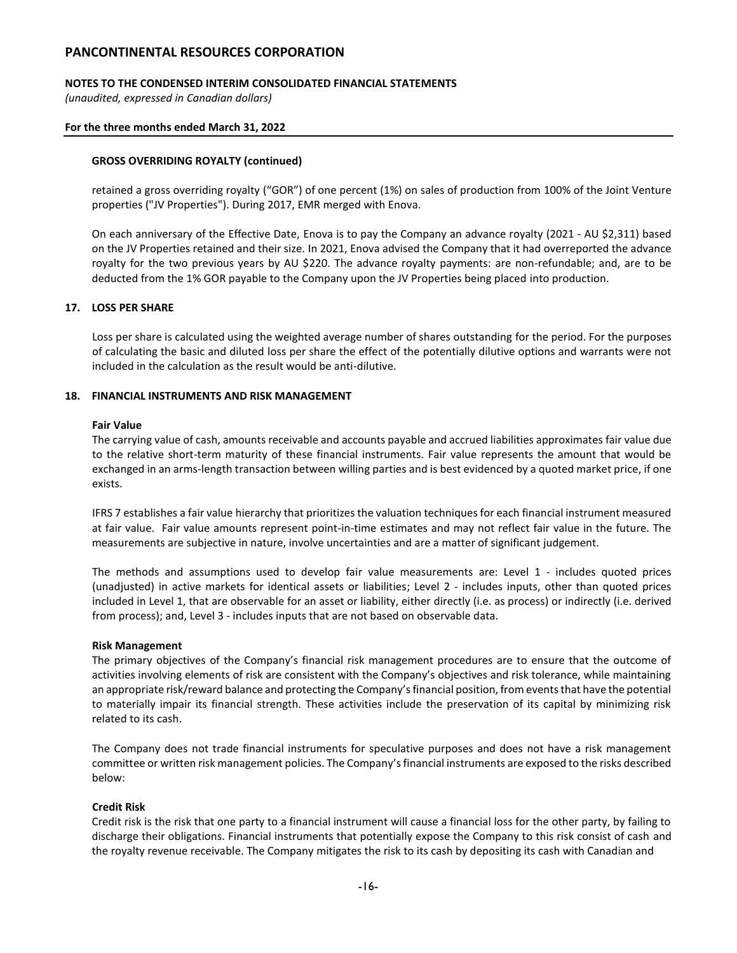## **NOTES TO THE CONDENSED INTERIM CONSOLIDATED FINANCIAL STATEMENTS**

*(unaudited, expressed in Canadian dollars)*

#### **For the three months ended March 31, 2022**

### **GROSS OVERRIDING ROYALTY (continued)**

retained a gross overriding royalty ("GOR") of one percent (1%) on sales of production from 100% of the Joint Venture properties ("JV Properties"). During 2017, EMR merged with Enova.

On each anniversary of the Effective Date, Enova is to pay the Company an advance royalty (2021 - AU \$2,311) based on the JV Properties retained and their size. In 2021, Enova advised the Company that it had overreported the advance royalty for the two previous years by AU \$220. The advance royalty payments: are non-refundable; and, are to be deducted from the 1% GOR payable to the Company upon the JV Properties being placed into production.

#### **17. LOSS PER SHARE**

Loss per share is calculated using the weighted average number of shares outstanding for the period. For the purposes of calculating the basic and diluted loss per share the effect of the potentially dilutive options and warrants were not included in the calculation as the result would be anti-dilutive.

### **18. FINANCIAL INSTRUMENTS AND RISK MANAGEMENT**

#### **Fair Value**

The carrying value of cash, amounts receivable and accounts payable and accrued liabilities approximates fair value due to the relative short-term maturity of these financial instruments. Fair value represents the amount that would be exchanged in an arms-length transaction between willing parties and is best evidenced by a quoted market price, if one exists.

IFRS 7 establishes a fair value hierarchy that prioritizes the valuation techniques for each financial instrument measured at fair value. Fair value amounts represent point-in-time estimates and may not reflect fair value in the future. The measurements are subjective in nature, involve uncertainties and are a matter of significant judgement.

The methods and assumptions used to develop fair value measurements are: Level 1 - includes quoted prices (unadjusted) in active markets for identical assets or liabilities; Level 2 - includes inputs, other than quoted prices included in Level 1, that are observable for an asset or liability, either directly (i.e. as process) or indirectly (i.e. derived from process); and, Level 3 - includes inputs that are not based on observable data.

#### **Risk Management**

The primary objectives of the Company's financial risk management procedures are to ensure that the outcome of activities involving elements of risk are consistent with the Company's objectives and risk tolerance, while maintaining an appropriate risk/reward balance and protecting the Company's financial position, from events that have the potential to materially impair its financial strength. These activities include the preservation of its capital by minimizing risk related to its cash.

The Company does not trade financial instruments for speculative purposes and does not have a risk management committee or written risk management policies. The Company's financial instruments are exposed to the risks described below:

#### **Credit Risk**

Credit risk is the risk that one party to a financial instrument will cause a financial loss for the other party, by failing to discharge their obligations. Financial instruments that potentially expose the Company to this risk consist of cash and the royalty revenue receivable. The Company mitigates the risk to its cash by depositing its cash with Canadian and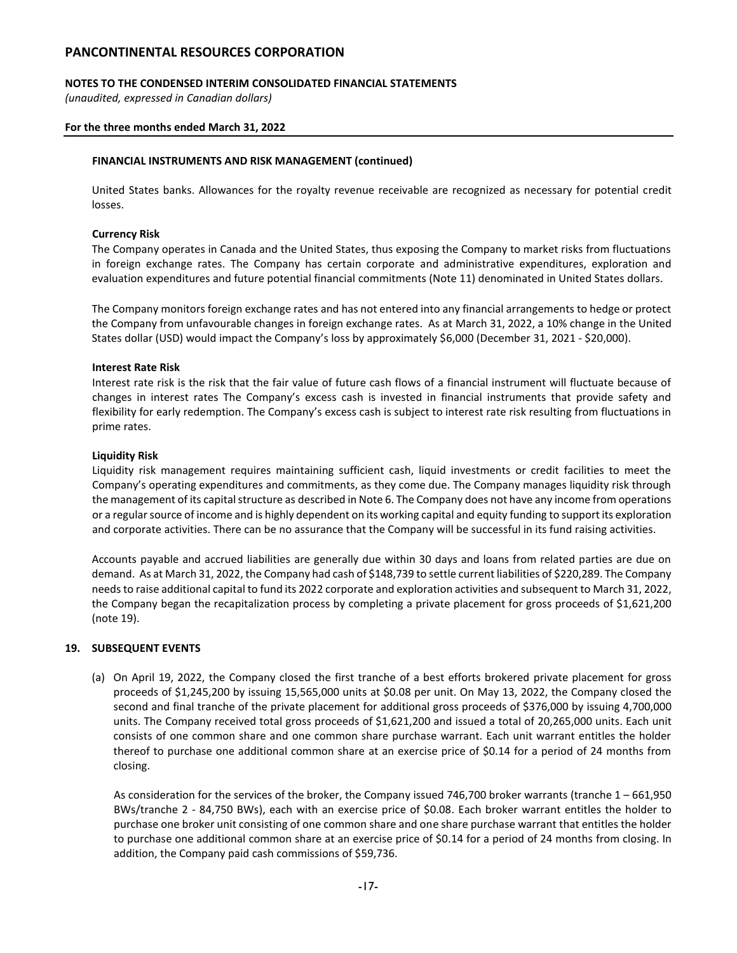### **NOTES TO THE CONDENSED INTERIM CONSOLIDATED FINANCIAL STATEMENTS**

*(unaudited, expressed in Canadian dollars)*

#### **For the three months ended March 31, 2022**

#### **FINANCIAL INSTRUMENTS AND RISK MANAGEMENT (continued)**

United States banks. Allowances for the royalty revenue receivable are recognized as necessary for potential credit losses.

#### **Currency Risk**

The Company operates in Canada and the United States, thus exposing the Company to market risks from fluctuations in foreign exchange rates. The Company has certain corporate and administrative expenditures, exploration and evaluation expenditures and future potential financial commitments (Note 11) denominated in United States dollars.

The Company monitors foreign exchange rates and has not entered into any financial arrangements to hedge or protect the Company from unfavourable changes in foreign exchange rates. As at March 31, 2022, a 10% change in the United States dollar (USD) would impact the Company's loss by approximately \$6,000 (December 31, 2021 - \$20,000).

#### **Interest Rate Risk**

Interest rate risk is the risk that the fair value of future cash flows of a financial instrument will fluctuate because of changes in interest rates The Company's excess cash is invested in financial instruments that provide safety and flexibility for early redemption. The Company's excess cash is subject to interest rate risk resulting from fluctuations in prime rates.

#### **Liquidity Risk**

Liquidity risk management requires maintaining sufficient cash, liquid investments or credit facilities to meet the Company's operating expenditures and commitments, as they come due. The Company manages liquidity risk through the management of its capital structure as described in Note 6. The Company does not have any income from operations or a regular source of income and is highly dependent on its working capital and equity funding to support its exploration and corporate activities. There can be no assurance that the Company will be successful in its fund raising activities.

Accounts payable and accrued liabilities are generally due within 30 days and loans from related parties are due on demand. As at March 31, 2022, the Company had cash of \$148,739 to settle current liabilities of \$220,289. The Company needs to raise additional capital to fund its 2022 corporate and exploration activities and subsequent to March 31, 2022, the Company began the recapitalization process by completing a private placement for gross proceeds of \$1,621,200 (note 19).

#### **19. SUBSEQUENT EVENTS**

(a) On April 19, 2022, the Company closed the first tranche of a best efforts brokered private placement for gross proceeds of \$1,245,200 by issuing 15,565,000 units at \$0.08 per unit. On May 13, 2022, the Company closed the second and final tranche of the private placement for additional gross proceeds of \$376,000 by issuing 4,700,000 units. The Company received total gross proceeds of \$1,621,200 and issued a total of 20,265,000 units. Each unit consists of one common share and one common share purchase warrant. Each unit warrant entitles the holder thereof to purchase one additional common share at an exercise price of \$0.14 for a period of 24 months from closing.

As consideration for the services of the broker, the Company issued 746,700 broker warrants (tranche 1 – 661,950 BWs/tranche 2 - 84,750 BWs), each with an exercise price of \$0.08. Each broker warrant entitles the holder to purchase one broker unit consisting of one common share and one share purchase warrant that entitles the holder to purchase one additional common share at an exercise price of \$0.14 for a period of 24 months from closing. In addition, the Company paid cash commissions of \$59,736.